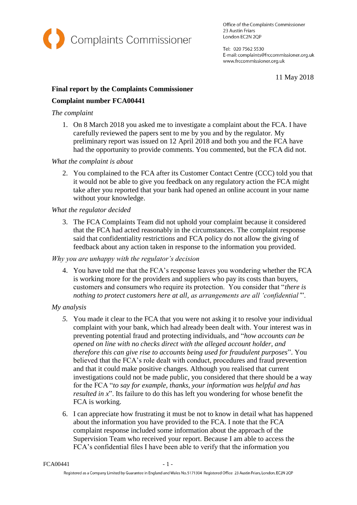

Office of the Complaints Commissioner 23 Austin Friars London EC2N 2QP

Tel: 020 7562 5530 E-mail: complaints@frccommissioner.org.uk www.frccommissioner.org.uk

11 May 2018

## **Final report by the Complaints Commissioner**

# **Complaint number FCA00441**

### *The complaint*

1. On 8 March 2018 you asked me to investigate a complaint about the FCA. I have carefully reviewed the papers sent to me by you and by the regulator. My preliminary report was issued on 12 April 2018 and both you and the FCA have had the opportunity to provide comments. You commented, but the FCA did not.

## *What the complaint is about*

2. You complained to the FCA after its Customer Contact Centre (CCC) told you that it would not be able to give you feedback on any regulatory action the FCA might take after you reported that your bank had opened an online account in your name without your knowledge.

### *What the regulator decided*

3. The FCA Complaints Team did not uphold your complaint because it considered that the FCA had acted reasonably in the circumstances. The complaint response said that confidentiality restrictions and FCA policy do not allow the giving of feedback about any action taken in response to the information you provided.

## *Why you are unhappy with the regulator's decision*

4. You have told me that the FCA's response leaves you wondering whether the FCA is working more for the providers and suppliers who pay its costs than buyers, customers and consumers who require its protection. You consider that "*there is nothing to protect customers here at all, as arrangements are all 'confidential'*".

## *My analysis*

- *5.* You made it clear to the FCA that you were not asking it to resolve your individual complaint with your bank, which had already been dealt with. Your interest was in preventing potential fraud and protecting individuals, and "*how accounts can be opened on line with no checks direct with the alleged account holder, and therefore this can give rise to accounts being used for fraudulent purposes*". You believed that the FCA's role dealt with conduct, procedures and fraud prevention and that it could make positive changes. Although you realised that current investigations could not be made public, you considered that there should be a way for the FCA "*to say for example, thanks, your information was helpful and has resulted in x*". Its failure to do this has left you wondering for whose benefit the FCA is working.
- 6. I can appreciate how frustrating it must be not to know in detail what has happened about the information you have provided to the FCA. I note that the FCA complaint response included some information about the approach of the Supervision Team who received your report. Because I am able to access the FCA's confidential files I have been able to verify that the information you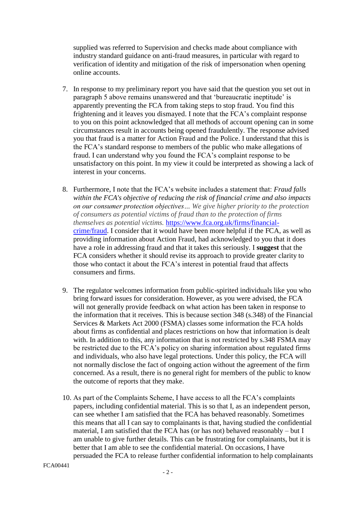supplied was referred to Supervision and checks made about compliance with industry standard guidance on anti-fraud measures, in particular with regard to verification of identity and mitigation of the risk of impersonation when opening online accounts.

- 7. In response to my preliminary report you have said that the question you set out in paragraph 5 above remains unanswered and that 'bureaucratic ineptitude' is apparently preventing the FCA from taking steps to stop fraud. You find this frightening and it leaves you dismayed. I note that the FCA's complaint response to you on this point acknowledged that all methods of account opening can in some circumstances result in accounts being opened fraudulently. The response advised you that fraud is a matter for Action Fraud and the Police. I understand that this is the FCA's standard response to members of the public who make allegations of fraud. I can understand why you found the FCA's complaint response to be unsatisfactory on this point. In my view it could be interpreted as showing a lack of interest in your concerns.
- 8. Furthermore, I note that the FCA's website includes a statement that: *Fraud falls within the FCA's objective of reducing the risk of financial crime and also impacts on our consumer protection objectives… We give higher priority to the protection of consumers as potential victims of fraud than to the protection of firms themselves as potential victims.* [https://www.fca.org.uk/firms/financial](https://www.fca.org.uk/firms/financial-crime/fraud)[crime/fraud.](https://www.fca.org.uk/firms/financial-crime/fraud) I consider that it would have been more helpful if the FCA, as well as providing information about Action Fraud, had acknowledged to you that it does have a role in addressing fraud and that it takes this seriously. I **suggest** that the FCA considers whether it should revise its approach to provide greater clarity to those who contact it about the FCA's interest in potential fraud that affects consumers and firms.
- 9. The regulator welcomes information from public-spirited individuals like you who bring forward issues for consideration. However, as you were advised, the FCA will not generally provide feedback on what action has been taken in response to the information that it receives. This is because section 348 (s.348) of the Financial Services & Markets Act 2000 (FSMA) classes some information the FCA holds about firms as confidential and places restrictions on how that information is dealt with. In addition to this, any information that is not restricted by s.348 FSMA may be restricted due to the FCA's policy on sharing information about regulated firms and individuals, who also have legal protections. Under this policy, the FCA will not normally disclose the fact of ongoing action without the agreement of the firm concerned. As a result, there is no general right for members of the public to know the outcome of reports that they make.
- 10. As part of the Complaints Scheme, I have access to all the FCA's complaints papers, including confidential material. This is so that I, as an independent person, can see whether I am satisfied that the FCA has behaved reasonably. Sometimes this means that all I can say to complainants is that, having studied the confidential material, I am satisfied that the FCA has (or has not) behaved reasonably – but I am unable to give further details. This can be frustrating for complainants, but it is better that I am able to see the confidential material. On occasions, I have persuaded the FCA to release further confidential information to help complainants

```
FCA00441
```